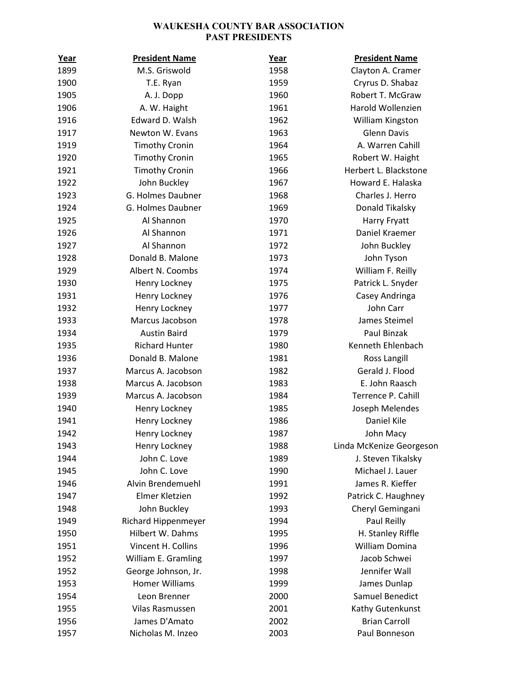## WAUKESHA COUNTY BAR ASSOCIATION PAST PRESIDENTS

| Year | <b>President Name</b>      | Year | <b>President Name</b>    |
|------|----------------------------|------|--------------------------|
| 1899 | M.S. Griswold              | 1958 | Clayton A. Cramer        |
| 1900 | T.E. Ryan                  | 1959 | Cryrus D. Shabaz         |
| 1905 | A. J. Dopp                 | 1960 | Robert T. McGraw         |
| 1906 | A. W. Haight               | 1961 | Harold Wollenzien        |
| 1916 | Edward D. Walsh            | 1962 | William Kingston         |
| 1917 | Newton W. Evans            | 1963 | <b>Glenn Davis</b>       |
| 1919 | <b>Timothy Cronin</b>      | 1964 | A. Warren Cahill         |
| 1920 | <b>Timothy Cronin</b>      | 1965 | Robert W. Haight         |
| 1921 | <b>Timothy Cronin</b>      | 1966 | Herbert L. Blackstone    |
| 1922 | John Buckley               | 1967 | Howard E. Halaska        |
| 1923 | G. Holmes Daubner          | 1968 | Charles J. Herro         |
| 1924 | G. Holmes Daubner          | 1969 | Donald Tikalsky          |
| 1925 | Al Shannon                 | 1970 | Harry Fryatt             |
| 1926 | Al Shannon                 | 1971 | Daniel Kraemer           |
| 1927 | Al Shannon                 | 1972 | John Buckley             |
| 1928 | Donald B. Malone           | 1973 | John Tyson               |
| 1929 | Albert N. Coombs           | 1974 | William F. Reilly        |
| 1930 | Henry Lockney              | 1975 | Patrick L. Snyder        |
| 1931 | Henry Lockney              | 1976 | Casey Andringa           |
| 1932 | Henry Lockney              | 1977 | John Carr                |
| 1933 | Marcus Jacobson            | 1978 | James Steimel            |
| 1934 | <b>Austin Baird</b>        | 1979 | Paul Binzak              |
| 1935 | <b>Richard Hunter</b>      | 1980 | Kenneth Ehlenbach        |
| 1936 | Donald B. Malone           | 1981 | Ross Langill             |
| 1937 | Marcus A. Jacobson         | 1982 | Gerald J. Flood          |
| 1938 | Marcus A. Jacobson         | 1983 | E. John Raasch           |
| 1939 | Marcus A. Jacobson         | 1984 | Terrence P. Cahill       |
| 1940 | Henry Lockney              | 1985 | Joseph Melendes          |
| 1941 | Henry Lockney              | 1986 | Daniel Kile              |
| 1942 | Henry Lockney              | 1987 | John Macy                |
| 1943 | Henry Lockney              | 1988 | Linda McKenize Georgeson |
| 1944 | John C. Love               | 1989 | J. Steven Tikalsky       |
| 1945 | John C. Love               | 1990 | Michael J. Lauer         |
| 1946 | Alvin Brendemuehl          | 1991 | James R. Kieffer         |
| 1947 | Elmer Kletzien             | 1992 | Patrick C. Haughney      |
| 1948 | John Buckley               | 1993 | Cheryl Gemingani         |
| 1949 | <b>Richard Hippenmeyer</b> | 1994 | Paul Reilly              |
| 1950 | Hilbert W. Dahms           | 1995 | H. Stanley Riffle        |
| 1951 | Vincent H. Collins         | 1996 | William Domina           |
| 1952 | William E. Gramling        | 1997 | Jacob Schwei             |
| 1952 | George Johnson, Jr.        | 1998 | Jennifer Wall            |
| 1953 | <b>Homer Williams</b>      | 1999 | James Dunlap             |
| 1954 | Leon Brenner               | 2000 | Samuel Benedict          |
| 1955 | Vilas Rasmussen            | 2001 | Kathy Gutenkunst         |
| 1956 | James D'Amato              | 2002 | <b>Brian Carroll</b>     |
| 1957 | Nicholas M. Inzeo          | 2003 | Paul Bonneson            |